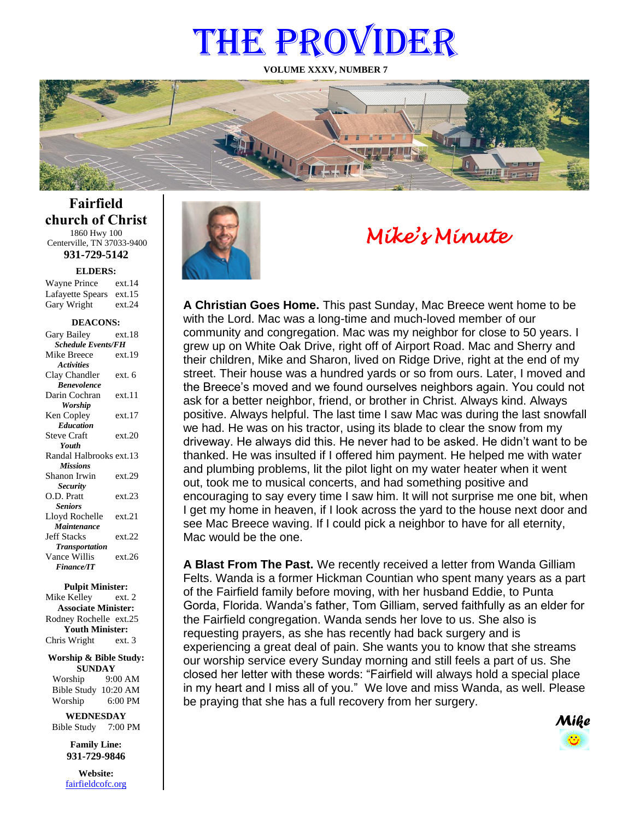# THE PROVIDER

**VOLUME XXXV, NUMBER 7**



**Fairfield church of Christ** 1860 Hwy 100 Centerville, TN 37033-9400

**931-729-5142**

**ELDERS:**

Gary Wright ext.24 Wayne Prince ext.14 Lafayette Spears ext.15

#### **DEACONS:**

| Gary Bailey                      | ext.18 |  |
|----------------------------------|--------|--|
| <b>Schedule Events/FH</b>        |        |  |
| Mike Breece                      | ext.19 |  |
| <b>Activities</b>                |        |  |
| Clay Chandler                    | ext. 6 |  |
| <b><i><u>Renevolence</u></i></b> |        |  |
| Darin Cochran                    | ext.11 |  |
| Worship                          |        |  |
| Ken Copley                       | ext.17 |  |
| <b>Education</b>                 |        |  |
| <b>Steve Craft</b>               | ext.20 |  |
| Youth                            |        |  |
| Randal Halbrooks ext.13          |        |  |
| <b>Missions</b>                  |        |  |
| Shanon Irwin                     | ext.29 |  |
| <b>Security</b>                  |        |  |
| O.D. Pratt                       | ext.23 |  |
| <b>Seniors</b>                   |        |  |
| Lloyd Rochelle                   | ext.21 |  |
| Maintenance                      |        |  |
| <b>Jeff Stacks</b>               | ext.22 |  |
| <b>Transportation</b>            |        |  |
| Vance Willis                     | ext.26 |  |
| <b>Finance/IT</b>                |        |  |
|                                  |        |  |

**Pulpit Minister:**

Mike Kelley ext. 2 **Associate Minister:** Rodney Rochelle ext.25 **Youth Minister:** Chris Wright ext. 3

**Worship & Bible Study: SUNDAY** Worship 9:00 AM

Bible Study 10:20 AM Worship 6:00 PM **WEDNESDAY**

Bible Study 7:00 PM

**Family Line: 931-729-9846**

**Website:** [fairfieldcofc.org](file:///C:/Users/RickJoyce/Documents/Fairfield%20Website%20Files/fairfieldchurchofchrist.org)



# *Mike's Minute*

**A Christian Goes Home.** This past Sunday, Mac Breece went home to be with the Lord. Mac was a long-time and much-loved member of our community and congregation. Mac was my neighbor for close to 50 years. I grew up on White Oak Drive, right off of Airport Road. Mac and Sherry and their children, Mike and Sharon, lived on Ridge Drive, right at the end of my street. Their house was a hundred yards or so from ours. Later, I moved and the Breece's moved and we found ourselves neighbors again. You could not ask for a better neighbor, friend, or brother in Christ. Always kind. Always positive. Always helpful. The last time I saw Mac was during the last snowfall we had. He was on his tractor, using its blade to clear the snow from my driveway. He always did this. He never had to be asked. He didn't want to be thanked. He was insulted if I offered him payment. He helped me with water and plumbing problems, lit the pilot light on my water heater when it went out, took me to musical concerts, and had something positive and encouraging to say every time I saw him. It will not surprise me one bit, when I get my home in heaven, if I look across the yard to the house next door and see Mac Breece waving. If I could pick a neighbor to have for all eternity, Mac would be the one.

**A Blast From The Past.** We recently received a letter from Wanda Gilliam Felts. Wanda is a former Hickman Countian who spent many years as a part of the Fairfield family before moving, with her husband Eddie, to Punta Gorda, Florida. Wanda's father, Tom Gilliam, served faithfully as an elder for the Fairfield congregation. Wanda sends her love to us. She also is requesting prayers, as she has recently had back surgery and is experiencing a great deal of pain. She wants you to know that she streams our worship service every Sunday morning and still feels a part of us. She closed her letter with these words: "Fairfield will always hold a special place in my heart and I miss all of you." We love and miss Wanda, as well. Please be praying that she has a full recovery from her surgery.

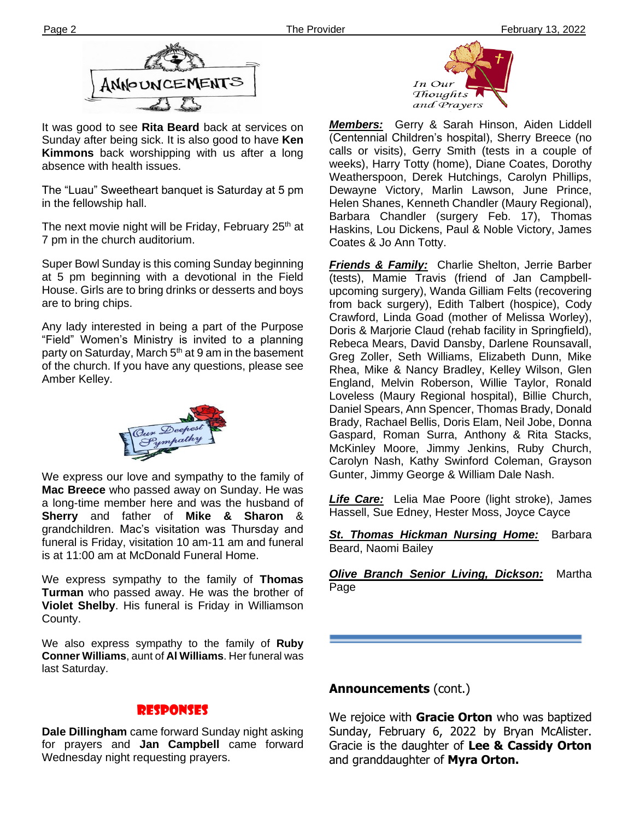

It was good to see **Rita Beard** back at services on Sunday after being sick. It is also good to have **Ken Kimmons** back worshipping with us after a long absence with health issues.

**Ther** in the fellowship hall. The "Luau" Sweetheart banquet is Saturday at 5 pm

The next movie night will be Friday, February 25<sup>th</sup> at 7 pm in the church auditorium.

Super Bowl Sunday is this coming Sunday beginning at 5 pm beginning with a devotional in the Field House. Girls are to bring drinks or desserts and boys are to bring chips.

Any lady interested in being a part of the Purpose "Field" Women's Ministry is invited to a planning party on Saturday, March  $5<sup>th</sup>$  at 9 am in the basement of the church. If you have any questions, please see Amber Kelley.



We express our love and sympathy to the family of **Mac Breece** who passed away on Sunday. He was a long-time member here and was the husband of **Sherry** and father of **Mike & Sharon** & grandchildren. Mac's visitation was Thursday and funeral is Friday, visitation 10 am-11 am and funeral is at 11:00 am at McDonald Funeral Home.

**Turman** who passed away. He was the brother of We express sympathy to the family of **Thomas Violet Shelby**. His funeral is Friday in Williamson County.

We also express sympathy to the family of **Ruby Conner Williams**, aunt of **Al Williams**. Her funeral was last Saturday.

#### Responses

**Dale Dillingham** came forward Sunday night asking for prayers and **Jan Campbell** came forward Wednesday night requesting prayers.



*Members:* Gerry & Sarah Hinson, Aiden Liddell (Centennial Children's hospital), Sherry Breece (no calls or visits), Gerry Smith (tests in a couple of weeks), Harry Totty (home), Diane Coates, Dorothy Weatherspoon, Derek Hutchings, Carolyn Phillips, Dewayne Victory, Marlin Lawson, June Prince, Helen Shanes, Kenneth Chandler (Maury Regional), Barbara Chandler (surgery Feb. 17), Thomas Haskins, Lou Dickens, Paul & Noble Victory, James Coates & Jo Ann Totty.

*Friends & Family:* Charlie Shelton, Jerrie Barber (tests), Mamie Travis (friend of Jan Campbellupcoming surgery), Wanda Gilliam Felts (recovering from back surgery), Edith Talbert (hospice), Cody Crawford, Linda Goad (mother of Melissa Worley), Doris & Marjorie Claud (rehab facility in Springfield), Rebeca Mears, David Dansby, Darlene Rounsavall, Greg Zoller, Seth Williams, Elizabeth Dunn, Mike Rhea, Mike & Nancy Bradley, Kelley Wilson, Glen England, Melvin Roberson, Willie Taylor, Ronald Loveless (Maury Regional hospital), Billie Church, Daniel Spears, Ann Spencer, Thomas Brady, Donald Brady, Rachael Bellis, Doris Elam, Neil Jobe, Donna Gaspard, Roman Surra, Anthony & Rita Stacks, McKinley Moore, Jimmy Jenkins, Ruby Church, Carolyn Nash, Kathy Swinford Coleman, Grayson Gunter, Jimmy George & William Dale Nash.

*Life Care:* Lelia Mae Poore (light stroke), James Hassell, Sue Edney, Hester Moss, Joyce Cayce

*St. Thomas Hickman Nursing Home:* Barbara Beard, Naomi Bailey

*Olive Branch Senior Living, Dickson:* Martha Page

#### **Announcements** (cont.)

We rejoice with **Gracie Orton** who was baptized Sunday, February 6, 2022 by Bryan McAlister. Gracie is the daughter of **Lee & Cassidy Orton**  and granddaughter of **Myra Orton.**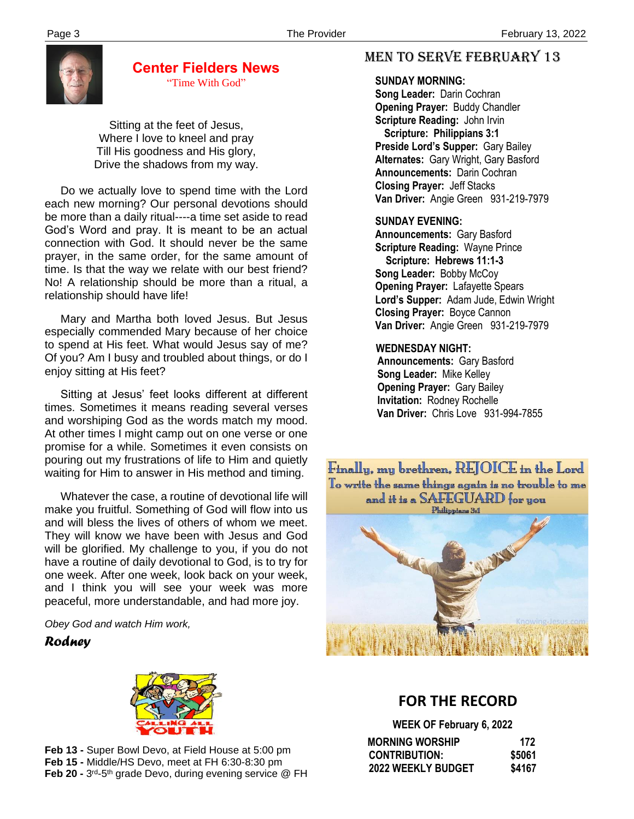

# **Center Fielders News**

"Time With God"

Sitting at the feet of Jesus, Where I love to kneel and pray Till His goodness and His glory, Drive the shadows from my way.

 Do we actually love to spend time with the Lord each new morning? Our personal devotions should be more than a daily ritual----a time set aside to read God's Word and pray. It is meant to be an actual connection with God. It should never be the same prayer, in the same order, for the same amount of time. Is that the way we relate with our best friend? No! A relationship should be more than a ritual, a relationship should have life!

 Mary and Martha both loved Jesus. But Jesus especially commended Mary because of her choice to spend at His feet. What would Jesus say of me? Of you? Am I busy and troubled about things, or do I enjoy sitting at His feet?

 Sitting at Jesus' feet looks different at different times. Sometimes it means reading several verses and worshiping God as the words match my mood. At other times I might camp out on one verse or one promise for a while. Sometimes it even consists on pouring out my frustrations of life to Him and quietly waiting for Him to answer in His method and timing.

 and I think you will see your week was more Whatever the case, a routine of devotional life will make you fruitful. Something of God will flow into us and will bless the lives of others of whom we meet. They will know we have been with Jesus and God will be glorified. My challenge to you, if you do not have a routine of daily devotional to God, is to try for one week. After one week, look back on your week, peaceful, more understandable, and had more joy.

*Obey God and watch Him work,*

#### *Rodney*



**Feb 13 -** Super Bowl Devo, at Field House at 5:00 pm **Feb 15 -** Middle/HS Devo, meet at FH 6:30-8:30 pm **Feb 20 -** 3<sup>rd</sup>-5<sup>th</sup> grade Devo, during evening service @ FH

## MEN TO SERVE February 13

#### **SUNDAY MORNING:**

**Song Leader:** Darin Cochran  **Opening Prayer:** Buddy Chandler **Scripture Reading:** John Irvin  **Scripture: Philippians 3:1 Preside Lord's Supper:** Gary Bailey  **Alternates:** Gary Wright, Gary Basford  **Announcements:** Darin Cochran  **Closing Prayer:** Jeff Stacks **Van Driver:** Angie Green 931-219-7979

#### **SUNDAY EVENING:**

**Announcements:** Gary Basford **Scripture Reading:** Wayne Prince  **Scripture: Hebrews 11:1-3 Song Leader:** Bobby McCoy **Opening Prayer:** Lafayette Spears **Lord's Supper:** Adam Jude, Edwin Wright **Closing Prayer:** Boyce Cannon **Van Driver:** Angie Green 931-219-7979

#### **WEDNESDAY NIGHT:**

**Announcements:** Gary Basford **Song Leader:** Mike Kelley **Opening Prayer:** Gary Bailey **Invitation:** Rodney Rochelle  **Van Driver:** Chris Love 931-994-7855

Finally, my brethren, REJOICE in the Lord To write the same things again is no trouble to me and it is a SAFEGUARD for you Philippians 3:1



# **FOR THE RECORD**

**WEEK OF February 6, 2022**

| <b>MORNING WORSHIP</b>    | 172    |
|---------------------------|--------|
| <b>CONTRIBUTION:</b>      | \$5061 |
| <b>2022 WEEKLY BUDGET</b> | \$4167 |